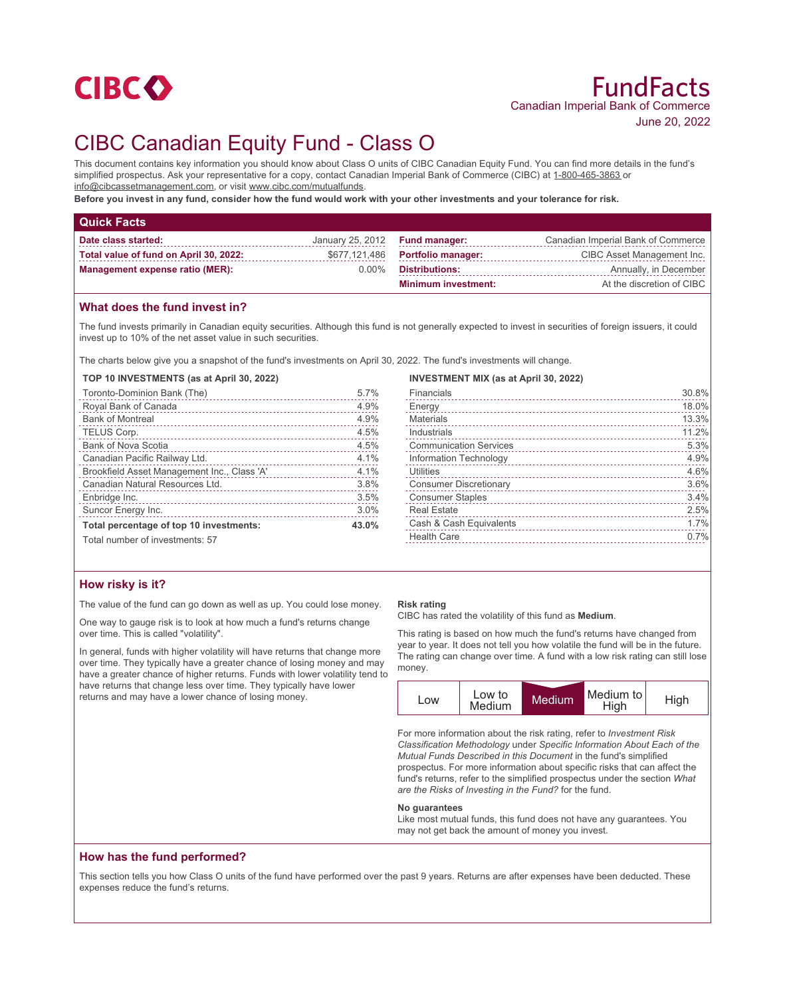

# CIBC Canadian Equity Fund - Class O

This document contains key information you should know about Class O units of CIBC Canadian Equity Fund. You can find more details in the fund's simplified prospectus. Ask your representative for a copy, contact Canadian Imperial Bank of Commerce (CIBC) at 1-800-465-3863 or info@cibcassetmanagement.com, or visit www.cibc.com/mutualfunds.

**Before you invest in any fund, consider how the fund would work with your other investments and your tolerance for risk.**

| <b>Quick Facts</b>                     |                                |                                  |                                    |
|----------------------------------------|--------------------------------|----------------------------------|------------------------------------|
| Date class started:                    | January 25, 2012 Fund manager: |                                  | Canadian Imperial Bank of Commerce |
| Total value of fund on April 30, 2022: |                                | \$677,121,486 Portfolio manager: | CIBC Asset Management Inc.         |
| <b>Management expense ratio (MER):</b> | $0.00\%$                       | Distributions:                   | Annually, in December              |
|                                        |                                | <b>Minimum investment:</b>       | At the discretion of CIBC          |

## **What does the fund invest in?**

The fund invests primarily in Canadian equity securities. Although this fund is not generally expected to invest in securities of foreign issuers, it could invest up to 10% of the net asset value in such securities.

The charts below give you a snapshot of the fund's investments on April 30, 2022. The fund's investments will change.

#### **TOP 10 INVESTMENTS (as at April 30, 2022)**

| Toronto-Dominion Bank (The)<br>1988         | 5.7%  |
|---------------------------------------------|-------|
| Royal Bank of Canada                        | 4.9%  |
| <b>Bank of Montreal</b>                     | 4.9%  |
| TELUS Corp.                                 | 4.5%  |
| <b>Bank of Nova Scotia</b>                  | 4.5%  |
| Canadian Pacific Railway Ltd.               | 4.1%  |
| Brookfield Asset Management Inc., Class 'A' | 4.1%  |
| Canadian Natural Resources Ltd.             | 3.8%  |
| Enbridge Inc.                               | 3.5%  |
| Suncor Energy Inc.                          | 3.0%  |
| Total percentage of top 10 investments:     | 43.0% |
| Total number of investments: 57             |       |

#### **INVESTMENT MIX (as at April 30, 2022)**

| Financials                    | 30.8% |
|-------------------------------|-------|
| Energy                        | 18.0% |
| Materials                     | 13.3% |
| Industrials                   | 11.2% |
| <b>Communication Services</b> | 5.3%  |
| Information Technology        | 4.9%  |
| Utilities                     | 4.6%  |
| <b>Consumer Discretionary</b> | 3.6%  |
| <b>Consumer Staples</b>       | 3.4%  |
| <b>Real Estate</b>            | 2.5%  |
| Cash & Cash Equivalents       | 1.7%  |
| <b>Health Care</b>            | 0.7%  |
|                               |       |

## **How risky is it?**

The value of the fund can go down as well as up. You could lose money.

One way to gauge risk is to look at how much a fund's returns change over time. This is called "volatility".

In general, funds with higher volatility will have returns that change more over time. They typically have a greater chance of losing money and may have a greater chance of higher returns. Funds with lower volatility tend to have returns that change less over time. They typically have lower returns and may have a lower chance of losing money.

#### **Risk rating**

CIBC has rated the volatility of this fund as **Medium**.

This rating is based on how much the fund's returns have changed from year to year. It does not tell you how volatile the fund will be in the future. The rating can change over time. A fund with a low risk rating can still lose money.



For more information about the risk rating, refer to *Investment Risk Classification Methodology* under *Specific Information About Each of the Mutual Funds Described in this Document* in the fund's simplified prospectus. For more information about specific risks that can affect the fund's returns, refer to the simplified prospectus under the section *What are the Risks of Investing in the Fund?* for the fund.

#### **No guarantees**

Like most mutual funds, this fund does not have any guarantees. You may not get back the amount of money you invest.

## **How has the fund performed?**

This section tells you how Class O units of the fund have performed over the past 9 years. Returns are after expenses have been deducted. These expenses reduce the fund's returns.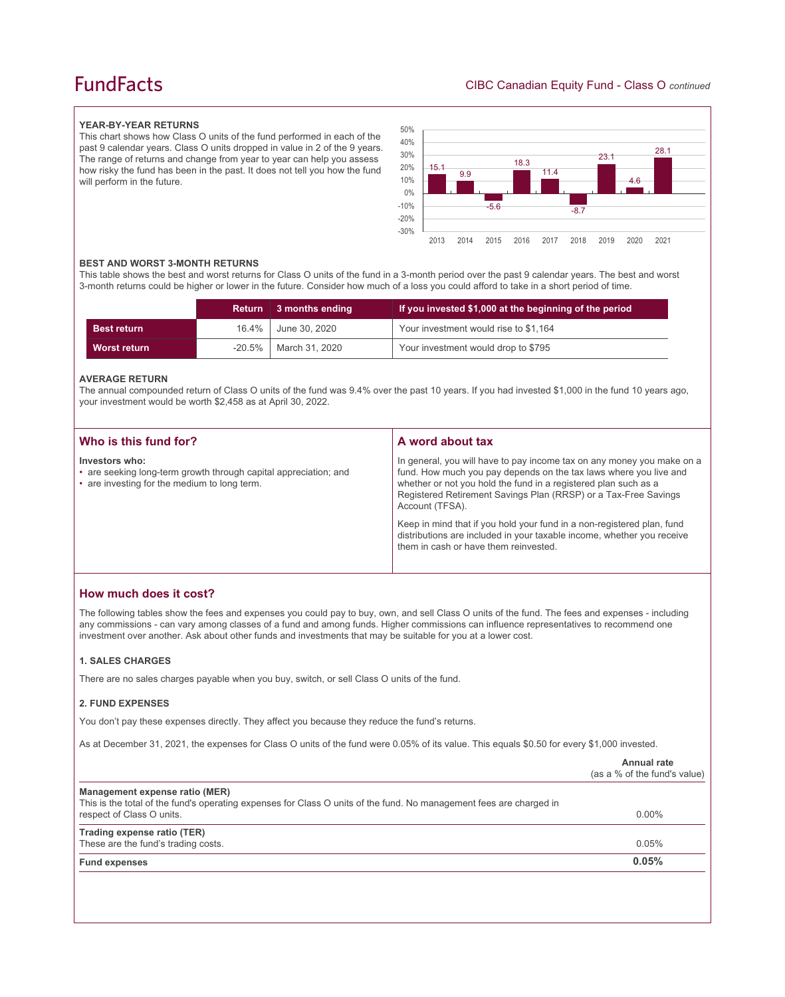## **FundFacts**

#### **YEAR-BY-YEAR RETURNS**

This chart shows how Class O units of the fund performed in each of the past 9 calendar years. Class O units dropped in value in 2 of the 9 years. The range of returns and change from year to year can help you assess how risky the fund has been in the past. It does not tell you how the fund will perform in the future.



#### **BEST AND WORST 3-MONTH RETURNS**

This table shows the best and worst returns for Class O units of the fund in a 3-month period over the past 9 calendar years. The best and worst 3-month returns could be higher or lower in the future. Consider how much of a loss you could afford to take in a short period of time.

|                    |           | Return 3 months ending | If you invested \$1,000 at the beginning of the period |
|--------------------|-----------|------------------------|--------------------------------------------------------|
| <b>Best return</b> | $16.4\%$  | June 30, 2020          | Your investment would rise to \$1,164                  |
| Worst return       | $-20.5\%$ | │ March 31. 2020       | Your investment would drop to \$795                    |

#### **AVERAGE RETURN**

The annual compounded return of Class O units of the fund was 9.4% over the past 10 years. If you had invested \$1,000 in the fund 10 years ago, your investment would be worth \$2,458 as at April 30, 2022.

| Who is this fund for?                                                                                                              | A word about tax                                                                                                                                                                                                                                                                                     |
|------------------------------------------------------------------------------------------------------------------------------------|------------------------------------------------------------------------------------------------------------------------------------------------------------------------------------------------------------------------------------------------------------------------------------------------------|
|                                                                                                                                    |                                                                                                                                                                                                                                                                                                      |
| Investors who:<br>• are seeking long-term growth through capital appreciation; and<br>• are investing for the medium to long term. | In general, you will have to pay income tax on any money you make on a<br>fund. How much you pay depends on the tax laws where you live and<br>whether or not you hold the fund in a registered plan such as a<br>Registered Retirement Savings Plan (RRSP) or a Tax-Free Savings<br>Account (TFSA). |
|                                                                                                                                    | Keep in mind that if you hold your fund in a non-registered plan, fund<br>distributions are included in your taxable income, whether you receive<br>them in cash or have them reinvested.                                                                                                            |

## **How much does it cost?**

The following tables show the fees and expenses you could pay to buy, own, and sell Class O units of the fund. The fees and expenses - including any commissions - can vary among classes of a fund and among funds. Higher commissions can influence representatives to recommend one investment over another. Ask about other funds and investments that may be suitable for you at a lower cost.

#### **1. SALES CHARGES**

There are no sales charges payable when you buy, switch, or sell Class O units of the fund.

#### **2. FUND EXPENSES**

You don't pay these expenses directly. They affect you because they reduce the fund's returns.

As at December 31, 2021, the expenses for Class O units of the fund were 0.05% of its value. This equals \$0.50 for every \$1,000 invested.

|                                                                                                                                                       | <b>Annual rate</b><br>(as a % of the fund's value) |
|-------------------------------------------------------------------------------------------------------------------------------------------------------|----------------------------------------------------|
| Management expense ratio (MER)<br>This is the total of the fund's operating expenses for Class O units of the fund. No management fees are charged in |                                                    |
| respect of Class O units.                                                                                                                             | $0.00\%$                                           |
| Trading expense ratio (TER)                                                                                                                           |                                                    |
| These are the fund's trading costs.                                                                                                                   | 0.05%                                              |
| <b>Fund expenses</b>                                                                                                                                  | 0.05%                                              |
|                                                                                                                                                       |                                                    |